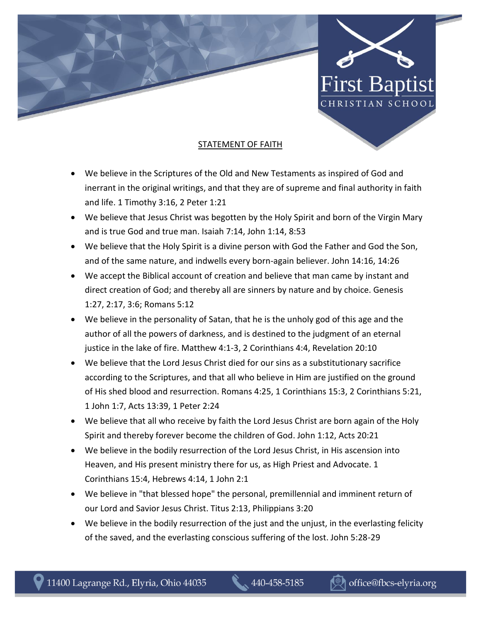



## STATEMENT OF FAITH

- We believe in the Scriptures of the Old and New Testaments as inspired of God and inerrant in the original writings, and that they are of supreme and final authority in faith and life. 1 Timothy 3:16, 2 Peter 1:21
- We believe that Jesus Christ was begotten by the Holy Spirit and born of the Virgin Mary and is true God and true man. Isaiah 7:14, John 1:14, 8:53
- We believe that the Holy Spirit is a divine person with God the Father and God the Son, and of the same nature, and indwells every born-again believer. John 14:16, 14:26
- We accept the Biblical account of creation and believe that man came by instant and direct creation of God; and thereby all are sinners by nature and by choice. Genesis 1:27, 2:17, 3:6; Romans 5:12
- We believe in the personality of Satan, that he is the unholy god of this age and the author of all the powers of darkness, and is destined to the judgment of an eternal justice in the lake of fire. Matthew 4:1-3, 2 Corinthians 4:4, Revelation 20:10
- We believe that the Lord Jesus Christ died for our sins as a substitutionary sacrifice according to the Scriptures, and that all who believe in Him are justified on the ground of His shed blood and resurrection. Romans 4:25, 1 Corinthians 15:3, 2 Corinthians 5:21, 1 John 1:7, Acts 13:39, 1 Peter 2:24
- We believe that all who receive by faith the Lord Jesus Christ are born again of the Holy Spirit and thereby forever become the children of God. John 1:12, Acts 20:21
- We believe in the bodily resurrection of the Lord Jesus Christ, in His ascension into Heaven, and His present ministry there for us, as High Priest and Advocate. 1 Corinthians 15:4, Hebrews 4:14, 1 John 2:1
- We believe in "that blessed hope" the personal, premillennial and imminent return of our Lord and Savior Jesus Christ. Titus 2:13, Philippians 3:20
- We believe in the bodily resurrection of the just and the unjust, in the everlasting felicity of the saved, and the everlasting conscious suffering of the lost. John 5:28-29